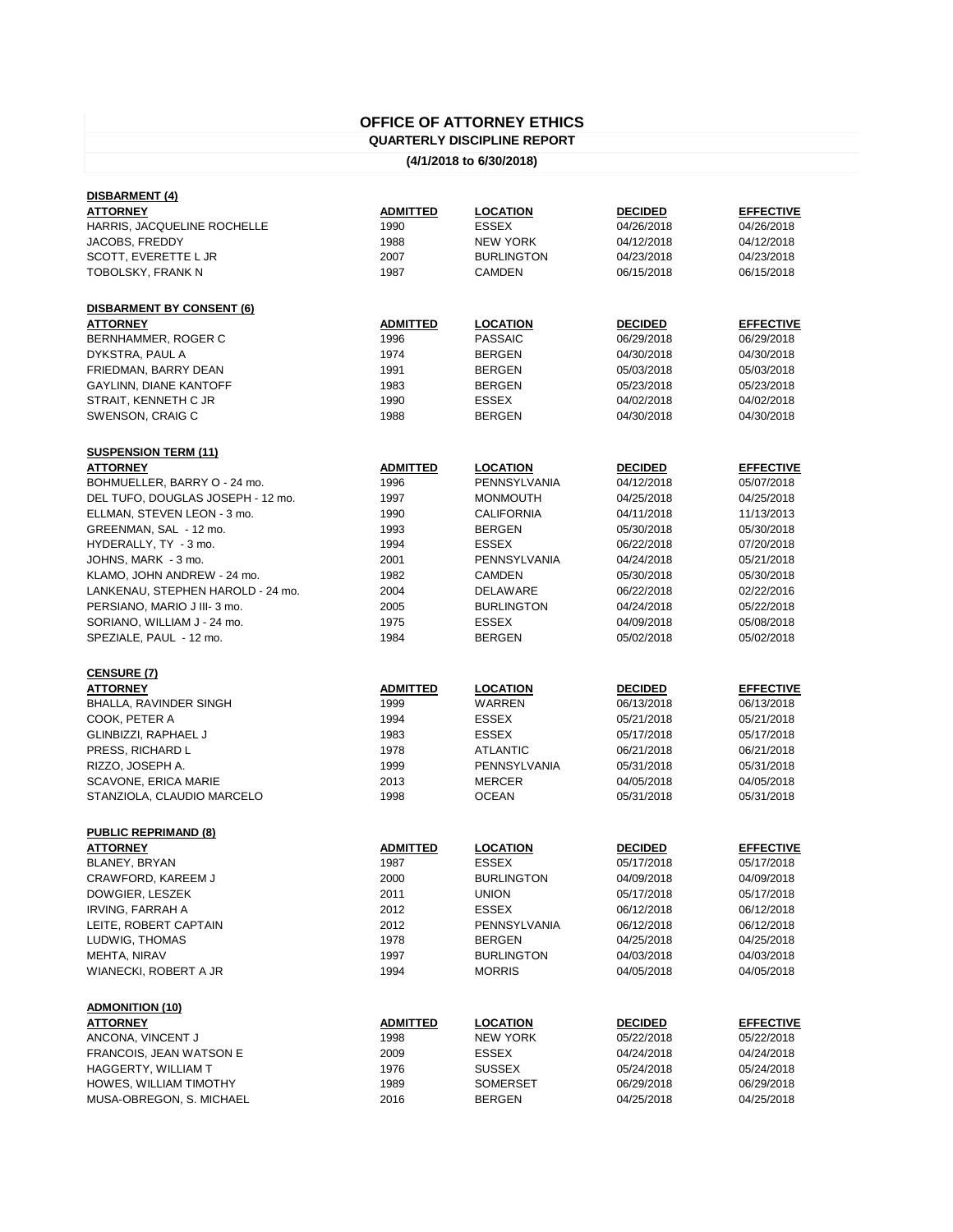## **OFFICE OF ATTORNEY ETHICS**

## **QUARTERLY DISCIPLINE REPORT**

**(4/1/2018 to 6/30/2018)**

| <u>DISBARMENT (4)</u>             |                 |                   |                |                  |
|-----------------------------------|-----------------|-------------------|----------------|------------------|
| <b>ATTORNEY</b>                   | <b>ADMITTED</b> | <b>LOCATION</b>   | <b>DECIDED</b> | <b>EFFECTIVE</b> |
| HARRIS, JACQUELINE ROCHELLE       | 1990            | <b>ESSEX</b>      | 04/26/2018     | 04/26/2018       |
| JACOBS, FREDDY                    | 1988            | <b>NEW YORK</b>   | 04/12/2018     | 04/12/2018       |
| SCOTT, EVERETTE L JR              | 2007            | <b>BURLINGTON</b> | 04/23/2018     | 04/23/2018       |
| TOBOLSKY, FRANK N                 | 1987            | <b>CAMDEN</b>     | 06/15/2018     | 06/15/2018       |
|                                   |                 |                   |                |                  |
| <b>DISBARMENT BY CONSENT (6)</b>  |                 |                   |                |                  |
| <b>ATTORNEY</b>                   | <b>ADMITTED</b> | <b>LOCATION</b>   | <b>DECIDED</b> | <b>EFFECTIVE</b> |
| BERNHAMMER, ROGER C               | 1996            | <b>PASSAIC</b>    | 06/29/2018     | 06/29/2018       |
| DYKSTRA, PAUL A                   | 1974            | <b>BERGEN</b>     | 04/30/2018     | 04/30/2018       |
| FRIEDMAN, BARRY DEAN              | 1991            | <b>BERGEN</b>     | 05/03/2018     | 05/03/2018       |
| <b>GAYLINN, DIANE KANTOFF</b>     | 1983            | <b>BERGEN</b>     | 05/23/2018     | 05/23/2018       |
| STRAIT, KENNETH C JR              | 1990            | <b>ESSEX</b>      | 04/02/2018     | 04/02/2018       |
| SWENSON, CRAIG C                  | 1988            | <b>BERGEN</b>     | 04/30/2018     | 04/30/2018       |
| <b>SUSPENSION TERM (11)</b>       |                 |                   |                |                  |
| <b>ATTORNEY</b>                   | <b>ADMITTED</b> | <b>LOCATION</b>   | <b>DECIDED</b> | <b>EFFECTIVE</b> |
| BOHMUELLER, BARRY O - 24 mo.      | 1996            | PENNSYLVANIA      | 04/12/2018     | 05/07/2018       |
| DEL TUFO, DOUGLAS JOSEPH - 12 mo. | 1997            | <b>MONMOUTH</b>   | 04/25/2018     | 04/25/2018       |
| ELLMAN, STEVEN LEON - 3 mo.       | 1990            | <b>CALIFORNIA</b> | 04/11/2018     | 11/13/2013       |
| GREENMAN, SAL - 12 mo.            | 1993            | <b>BERGEN</b>     | 05/30/2018     | 05/30/2018       |
| HYDERALLY, TY - 3 mo.             | 1994            | <b>ESSEX</b>      | 06/22/2018     | 07/20/2018       |
|                                   |                 |                   |                |                  |
| JOHNS, MARK - 3 mo.               | 2001            | PENNSYLVANIA      | 04/24/2018     | 05/21/2018       |
| KLAMO, JOHN ANDREW - 24 mo.       | 1982            | <b>CAMDEN</b>     | 05/30/2018     | 05/30/2018       |
| LANKENAU, STEPHEN HAROLD - 24 mo. | 2004            | <b>DELAWARE</b>   | 06/22/2018     | 02/22/2016       |
| PERSIANO, MARIO J III-3 mo.       | 2005            | <b>BURLINGTON</b> | 04/24/2018     | 05/22/2018       |
| SORIANO, WILLIAM J - 24 mo.       | 1975            | <b>ESSEX</b>      | 04/09/2018     | 05/08/2018       |
| SPEZIALE, PAUL - 12 mo.           | 1984            | <b>BERGEN</b>     | 05/02/2018     | 05/02/2018       |
| <b>CENSURE (7)</b>                |                 |                   |                |                  |
| <b>ATTORNEY</b>                   | <b>ADMITTED</b> | <b>LOCATION</b>   | <b>DECIDED</b> | <b>EFFECTIVE</b> |
| BHALLA, RAVINDER SINGH            | 1999            | WARREN            | 06/13/2018     | 06/13/2018       |
| COOK, PETER A                     | 1994            | <b>ESSEX</b>      | 05/21/2018     | 05/21/2018       |
| GLINBIZZI, RAPHAEL J              | 1983            | <b>ESSEX</b>      | 05/17/2018     | 05/17/2018       |
| PRESS, RICHARD L                  | 1978            | <b>ATLANTIC</b>   | 06/21/2018     | 06/21/2018       |
| RIZZO, JOSEPH A.                  | 1999            | PENNSYLVANIA      | 05/31/2018     | 05/31/2018       |
| SCAVONE, ERICA MARIE              | 2013            | <b>MERCER</b>     | 04/05/2018     | 04/05/2018       |
| STANZIOLA, CLAUDIO MARCELO        | 1998            | <b>OCEAN</b>      | 05/31/2018     | 05/31/2018       |
|                                   |                 |                   |                |                  |
| <b>PUBLIC REPRIMAND (8)</b>       |                 |                   |                |                  |
| <b>ATTORNEY</b>                   | <b>ADMITTED</b> | <b>LOCATION</b>   | <b>DECIDED</b> | <b>EFFECTIVE</b> |
| BLANEY, BRYAN                     | 1987            | <b>ESSEX</b>      | 05/17/2018     | 05/17/2018       |
| CRAWFORD, KAREEM J                | 2000            | <b>BURLINGTON</b> | 04/09/2018     | 04/09/2018       |
| DOWGIER, LESZEK                   | 2011            | <b>UNION</b>      | 05/17/2018     | 05/17/2018       |
| IRVING, FARRAH A                  | 2012            | <b>ESSEX</b>      | 06/12/2018     | 06/12/2018       |
| LEITE, ROBERT CAPTAIN             | 2012            | PENNSYLVANIA      | 06/12/2018     | 06/12/2018       |
| LUDWIG, THOMAS                    | 1978            | <b>BERGEN</b>     | 04/25/2018     | 04/25/2018       |
| MEHTA, NIRAV                      | 1997            | <b>BURLINGTON</b> | 04/03/2018     | 04/03/2018       |
| WIANECKI, ROBERT A JR             | 1994            | <b>MORRIS</b>     | 04/05/2018     | 04/05/2018       |
| <b>ADMONITION (10)</b>            |                 |                   |                |                  |
| <b>ATTORNEY</b>                   | <b>ADMITTED</b> | <b>LOCATION</b>   | <b>DECIDED</b> | <b>EFFECTIVE</b> |
| ANCONA, VINCENT J                 | 1998            | <b>NEW YORK</b>   | 05/22/2018     | 05/22/2018       |
| <b>FRANCOIS, JEAN WATSON E</b>    | 2009            | <b>ESSEX</b>      | 04/24/2018     | 04/24/2018       |
| HAGGERTY, WILLIAM T               | 1976            | <b>SUSSEX</b>     | 05/24/2018     | 05/24/2018       |
| HOWES, WILLIAM TIMOTHY            | 1989            | <b>SOMERSET</b>   | 06/29/2018     | 06/29/2018       |
| MUSA-OBREGON, S. MICHAEL          | 2016            | <b>BERGEN</b>     | 04/25/2018     | 04/25/2018       |
|                                   |                 |                   |                |                  |